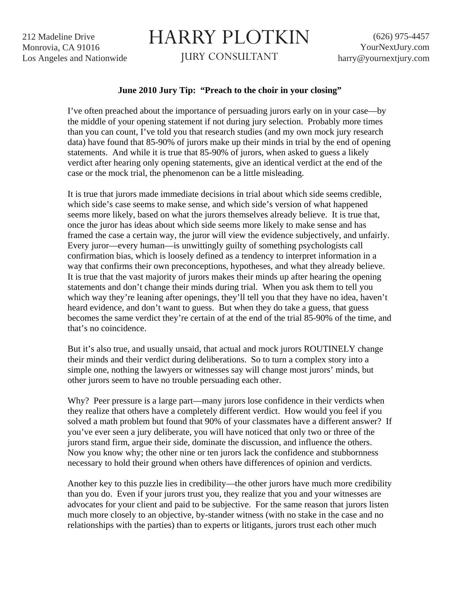212 Madeline Drive Monrovia, CA 91016 Los Angeles and Nationwide

## HARRY PLOTKIN

JURY CONSULTANT

## **June 2010 Jury Tip: "Preach to the choir in your closing"**

I've often preached about the importance of persuading jurors early on in your case—by the middle of your opening statement if not during jury selection. Probably more times than you can count, I've told you that research studies (and my own mock jury research data) have found that 85-90% of jurors make up their minds in trial by the end of opening statements. And while it is true that 85-90% of jurors, when asked to guess a likely verdict after hearing only opening statements, give an identical verdict at the end of the case or the mock trial, the phenomenon can be a little misleading.

It is true that jurors made immediate decisions in trial about which side seems credible, which side's case seems to make sense, and which side's version of what happened seems more likely, based on what the jurors themselves already believe. It is true that, once the juror has ideas about which side seems more likely to make sense and has framed the case a certain way, the juror will view the evidence subjectively, and unfairly. Every juror—every human—is unwittingly guilty of something psychologists call confirmation bias, which is loosely defined as a tendency to interpret information in a way that confirms their own preconceptions, hypotheses, and what they already believe. It is true that the vast majority of jurors makes their minds up after hearing the opening statements and don't change their minds during trial. When you ask them to tell you which way they're leaning after openings, they'll tell you that they have no idea, haven't heard evidence, and don't want to guess. But when they do take a guess, that guess becomes the same verdict they're certain of at the end of the trial 85-90% of the time, and that's no coincidence.

But it's also true, and usually unsaid, that actual and mock jurors ROUTINELY change their minds and their verdict during deliberations. So to turn a complex story into a simple one, nothing the lawyers or witnesses say will change most jurors' minds, but other jurors seem to have no trouble persuading each other.

Why? Peer pressure is a large part—many jurors lose confidence in their verdicts when they realize that others have a completely different verdict. How would you feel if you solved a math problem but found that 90% of your classmates have a different answer? If you've ever seen a jury deliberate, you will have noticed that only two or three of the jurors stand firm, argue their side, dominate the discussion, and influence the others. Now you know why; the other nine or ten jurors lack the confidence and stubbornness necessary to hold their ground when others have differences of opinion and verdicts.

Another key to this puzzle lies in credibility—the other jurors have much more credibility than you do. Even if your jurors trust you, they realize that you and your witnesses are advocates for your client and paid to be subjective. For the same reason that jurors listen much more closely to an objective, by-stander witness (with no stake in the case and no relationships with the parties) than to experts or litigants, jurors trust each other much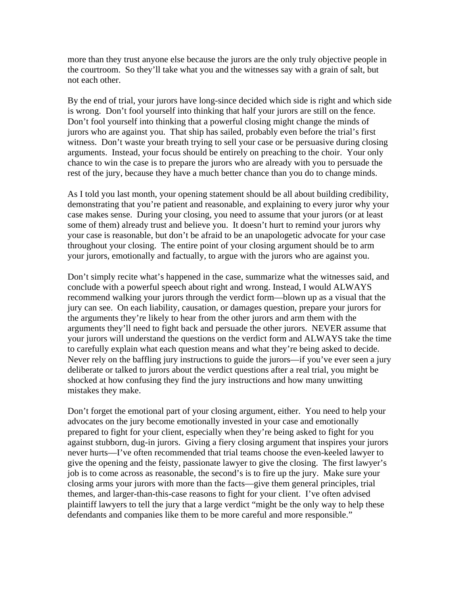more than they trust anyone else because the jurors are the only truly objective people in the courtroom. So they'll take what you and the witnesses say with a grain of salt, but not each other.

By the end of trial, your jurors have long-since decided which side is right and which side is wrong. Don't fool yourself into thinking that half your jurors are still on the fence. Don't fool yourself into thinking that a powerful closing might change the minds of jurors who are against you. That ship has sailed, probably even before the trial's first witness. Don't waste your breath trying to sell your case or be persuasive during closing arguments. Instead, your focus should be entirely on preaching to the choir. Your only chance to win the case is to prepare the jurors who are already with you to persuade the rest of the jury, because they have a much better chance than you do to change minds.

As I told you last month, your opening statement should be all about building credibility, demonstrating that you're patient and reasonable, and explaining to every juror why your case makes sense. During your closing, you need to assume that your jurors (or at least some of them) already trust and believe you. It doesn't hurt to remind your jurors why your case is reasonable, but don't be afraid to be an unapologetic advocate for your case throughout your closing. The entire point of your closing argument should be to arm your jurors, emotionally and factually, to argue with the jurors who are against you.

Don't simply recite what's happened in the case, summarize what the witnesses said, and conclude with a powerful speech about right and wrong. Instead, I would ALWAYS recommend walking your jurors through the verdict form—blown up as a visual that the jury can see. On each liability, causation, or damages question, prepare your jurors for the arguments they're likely to hear from the other jurors and arm them with the arguments they'll need to fight back and persuade the other jurors. NEVER assume that your jurors will understand the questions on the verdict form and ALWAYS take the time to carefully explain what each question means and what they're being asked to decide. Never rely on the baffling jury instructions to guide the jurors—if you've ever seen a jury deliberate or talked to jurors about the verdict questions after a real trial, you might be shocked at how confusing they find the jury instructions and how many unwitting mistakes they make.

Don't forget the emotional part of your closing argument, either. You need to help your advocates on the jury become emotionally invested in your case and emotionally prepared to fight for your client, especially when they're being asked to fight for you against stubborn, dug-in jurors. Giving a fiery closing argument that inspires your jurors never hurts—I've often recommended that trial teams choose the even-keeled lawyer to give the opening and the feisty, passionate lawyer to give the closing. The first lawyer's job is to come across as reasonable, the second's is to fire up the jury. Make sure your closing arms your jurors with more than the facts—give them general principles, trial themes, and larger-than-this-case reasons to fight for your client. I've often advised plaintiff lawyers to tell the jury that a large verdict "might be the only way to help these defendants and companies like them to be more careful and more responsible."